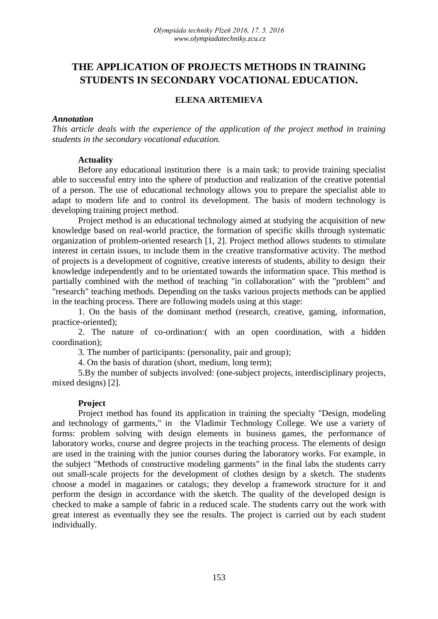# **THE APPLICATION OF PROJECTS METHODS IN TRAINING STUDENTS IN SECONDARY VOCATIONAL EDUCATION.**

## **ELENA ARTEMIEVA**

#### *Annotation*

*This article deals with the experience of the application of the project method in training students in the secondary vocational education.*

#### **Actuality**

Before any educational institution there is a main task: to provide training specialist able to successful entry into the sphere of production and realization of the creative potential of a person. The use of educational technology allows you to prepare the specialist able to adapt to modern life and to control its development. The basis of modern technology is developing training project method.

Project method is an educational technology aimed at studying the acquisition of new knowledge based on real-world practice, the formation of specific skills through systematic organization of problem-oriented research [1, 2]. Project method allows students to stimulate interest in certain issues, to include them in the creative transformative activity. The method of projects is a development of cognitive, creative interests of students, ability to design their knowledge independently and to be orientated towards the information space. This method is partially combined with the method of teaching "in collaboration" with the "problem" and "research" teaching methods. Depending on the tasks various projects methods can be applied in the teaching process. There are following models using at this stage:

1. On the basis of the dominant method (research, creative, gaming, information, practice-oriented);

2. The nature of co-ordination:( with an open coordination, with a hidden coordination);

3. The number of participants: (personality, pair and group);

4. On the basis of duration (short, medium, long term);

5.By the number of subjects involved: (one-subject projects, interdisciplinary projects, mixed designs) [2].

#### **Project**

Project method has found its application in training the specialty "Design, modeling and technology of garments," in the Vladimir Technology College. We use a variety of forms: problem solving with design elements in business games, the performance of laboratory works, course and degree projects in the teaching process. The elements of design are used in the training with the junior courses during the laboratory works. For example, in the subject "Methods of constructive modeling garments" in the final labs the students carry out small-scale projects for the development of clothes design by a sketch. The students choose a model in magazines or catalogs; they develop a framework structure for it and perform the design in accordance with the sketch. The quality of the developed design is checked to make a sample of fabric in a reduced scale. The students carry out the work with great interest as eventually they see the results. The project is carried out by each student individually.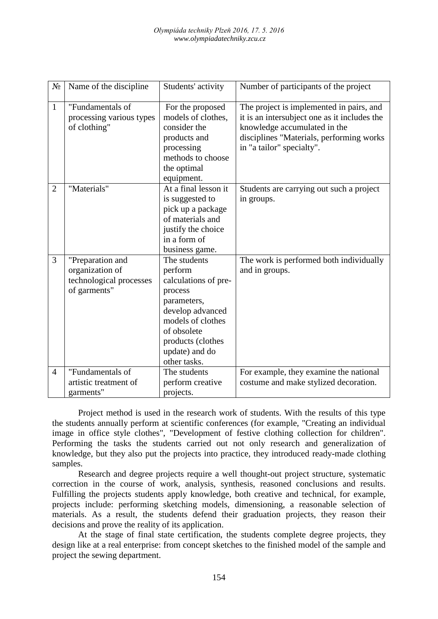| $N_2$          | Name of the discipline                                                         | Students' activity                                                                                                                                                                       | Number of participants of the project                                                                                                                                                             |
|----------------|--------------------------------------------------------------------------------|------------------------------------------------------------------------------------------------------------------------------------------------------------------------------------------|---------------------------------------------------------------------------------------------------------------------------------------------------------------------------------------------------|
| $\mathbf{1}$   | "Fundamentals of<br>processing various types<br>of clothing"                   | For the proposed<br>models of clothes,<br>consider the<br>products and<br>processing<br>methods to choose<br>the optimal<br>equipment.                                                   | The project is implemented in pairs, and<br>it is an intersubject one as it includes the<br>knowledge accumulated in the<br>disciplines "Materials, performing works<br>in "a tailor" specialty". |
| $\overline{2}$ | "Materials"                                                                    | At a final lesson it<br>is suggested to<br>pick up a package<br>of materials and<br>justify the choice<br>in a form of<br>business game.                                                 | Students are carrying out such a project<br>in groups.                                                                                                                                            |
| 3              | "Preparation and<br>organization of<br>technological processes<br>of garments" | The students<br>perform<br>calculations of pre-<br>process<br>parameters,<br>develop advanced<br>models of clothes<br>of obsolete<br>products (clothes<br>update) and do<br>other tasks. | The work is performed both individually<br>and in groups.                                                                                                                                         |
| $\overline{4}$ | "Fundamentals of<br>artistic treatment of<br>garments"                         | The students<br>perform creative<br>projects.                                                                                                                                            | For example, they examine the national<br>costume and make stylized decoration.                                                                                                                   |

Project method is used in the research work of students. With the results of this type the students annually perform at scientific conferences (for example, "Creating an individual image in office style clothes", "Development of festive clothing collection for children". Performing the tasks the students carried out not only research and generalization of knowledge, but they also put the projects into practice, they introduced ready-made clothing samples.

Research and degree projects require a well thought-out project structure, systematic correction in the course of work, analysis, synthesis, reasoned conclusions and results. Fulfilling the projects students apply knowledge, both creative and technical, for example, projects include: performing sketching models, dimensioning, a reasonable selection of materials. As a result, the students defend their graduation projects, they reason their decisions and prove the reality of its application.

At the stage of final state certification, the students complete degree projects, they design like at a real enterprise: from concept sketches to the finished model of the sample and project the sewing department.